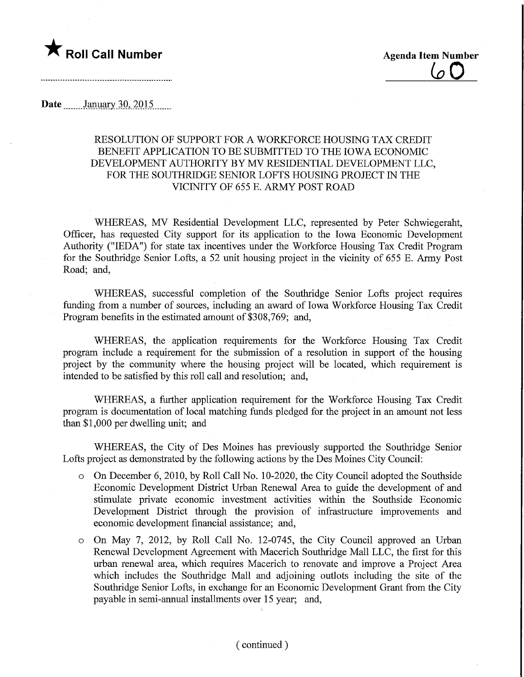## **The Roll Call Number Agents Container Agents Agents Item Number**

 $(\sigma \Gamma)$ 

Date ........JarmaryiQ,\_2Q15.

## RESOLUTION OF SUPPORT FOR A WORKFORCE HOUSING TAX CREDIT BENEFIT APPLICATION TO BE SUBMITTED TO THE IOWA ECONOMIC DEVELOPMENT AUTHORITY BY MV RESIDENTIAL DEVELOPMENT LLC, FOR THE SOUTHRIDGE SENIOR LOFTS HOUSING PROJECT IN THE VICINITY OF 655 E. ARMY POST ROAD

WHEREAS, MV Residential Development LLC, represented by Peter Schwiegeraht, Officer, has requested City support for its application to the Iowa Economic Development Authority ("IEDA") for state tax incentives under the Workforce Housing Tax Credit Program for the Southridge Senior Lofts, a 52 unit housing project in the vicinity of 655 E. Army Post Road; and,

WHEREAS, successful completion of the Soufhridge Senior Lofts project requires funding from a number of sources, including an award of Iowa Workforce Housing Tax Credit Program benefits in the estimated amount of \$308,769; and,

WHEREAS, the application requirements for the Workforce Housing Tax Credit program include a requirement for the submission of a resolution in support of the housing project by the community where the housing project will be located, which requirement is intended to be satisfied by this roll call and resolution; and,

WHEREAS, a further application requirement for the Workforce Housing Tax Credit program is documentation of local matching funds pledged for the project in an amount not less than \$1,000 per dwelling unit; and

WHEREAS, the City of Des Moines has previously supported the Southridge Senior Lofts project as demonstrated by the following actions by the Des Moines City Council:

- o On December 6, 2010, by Roll Call No. 10-2020, the City Council adopted the Southside Economic Development District Urban Renewal Area to guide the development of and stimulate private economic investment activities within the Southside Economic Development District through the provision of infrastructure improvements and economic development financial assistance; and,
- o On May 7, 2012, by Roll Call No. 12-0745, the City Council approved an Urban Renewal Development Agreement with Macerich Southridge Mall LLC, the first for this urban renewal area, which requires Macerich to renovate and improve a Project Area which includes the Southridge Mall and adjoining outlots including the site of the Southridge Senior Lofts, in exchange for an Economic Development Grant from the City payable in semi-annual installments over 15 year; and,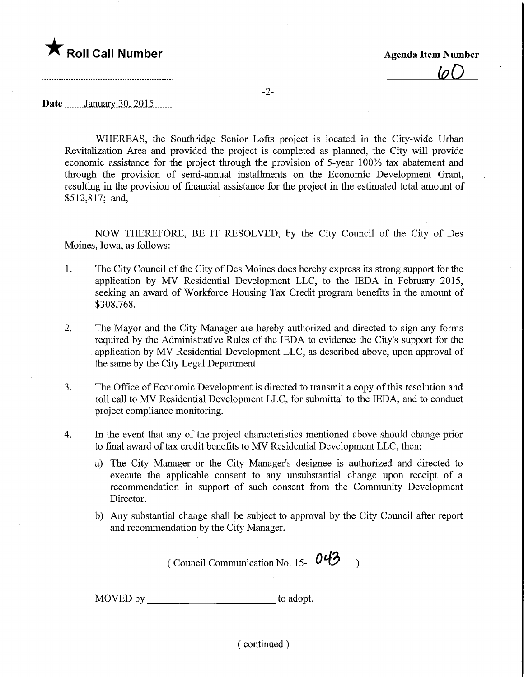

 $\overline{\omega}$ 

-2-

Date January 30, 2015

WHEREAS, the Southridge Senior Lofts project is located in the City-wide Urban Revitalization Area and provided the project is completed as planned, the City will provide economic assistance for the project through the provision of 5-year 100% tax abatement and through the provision of semi-annual installments on the Economic Development Grant, resulting in the provision of financial assistance for the project in the estimated total amount of \$512,817; and,

NOW THEREFORE, BE IT RESOLVED, by the City Council of the City of Des Moines, Iowa, as follows:

- 1. The City Council of the City of Des Moines does hereby express its strong support for the application by MV Residential Development LLC, to the IEDA in February 2015, seeking an award of Workforce Housing Tax Credit program benefits in the amount of \$308,768.
- 2. The Mayor and the City Manager are hereby authorized and directed to sign any forms required by the Administrative Rules of the IEDA to evidence the City's support for the application by MV Residential Development LLC, as described above, upon approval of the same by the City Legal Department.
- 3. The Office of Economic Development is directed to transmit a copy of this resolution and roll call to MV Residential Development LLC, for submittal to the IEDA, and to conduct project compliance monitoring.
- 4. In the event that any of the project characteristics mentioned above should change prior to final award of tax credit benefits to MV Residential Development LLC, then:
	- a) The City Manager or the City Manager's designee is authorized and directed to execute the applicable consent to any unsubstantial change upon receipt of a recommendation in support of such consent from the Community Development Director.
	- b) Any substantial change shall be subject to approval by the City Council after report and recommendation by the City Manager.

( Council Communication No. 15-  $043$  )

MOVED by \_\_\_\_\_\_\_\_\_\_\_\_\_\_\_\_\_\_\_\_\_\_\_\_\_\_\_\_\_\_\_\_\_ to adopt.